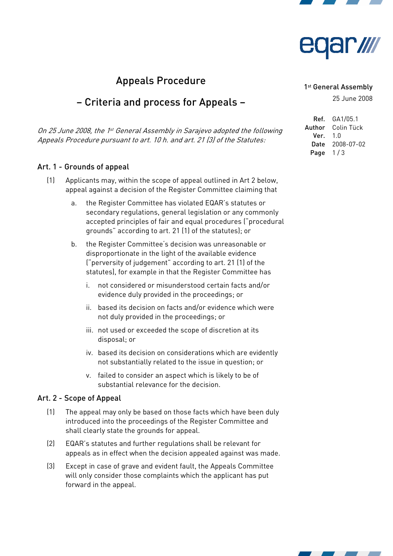



## Appeals Procedure

# – Criteria and process for Appeals –

On 25 June 2008, the 1st General Assembly in Sarajevo adopted the following Appeals Procedure pursuant to art. 10 h. and art. 21 (3) of the Statutes:

### Art. 1 - Grounds of appeal

- (1) Applicants may, within the scope of appeal outlined in Art 2 below, appeal against a decision of the Register Committee claiming that
	- a. the Register Committee has violated EQAR's statutes or secondary regulations, general legislation or any commonly accepted principles of fair and equal procedures ("procedural grounds" according to art. 21 (1) of the statutes); or
	- b. the Register Committee's decision was unreasonable or disproportionate in the light of the available evidence ("perversity of judgement" according to art. 21 (1) of the statutes), for example in that the Register Committee has
		- i. not considered or misunderstood certain facts and/or evidence duly provided in the proceedings; or
		- ii. based its decision on facts and/or evidence which were not duly provided in the proceedings; or
		- iii. not used or exceeded the scope of discretion at its disposal; or
		- iv. based its decision on considerations which are evidently not substantially related to the issue in question; or
		- v. failed to consider an aspect which is likely to be of substantial relevance for the decision.

#### Art. 2 - Scope of Appeal

- (1) The appeal may only be based on those facts which have been duly introduced into the proceedings of the Register Committee and shall clearly state the grounds for appeal.
- (2) EQAR's statutes and further regulations shall be relevant for appeals as in effect when the decision appealed against was made.
- (3) Except in case of grave and evident fault, the Appeals Committee will only consider those complaints which the applicant has put forward in the appeal.

#### 1 st General Assembly

25 June 2008

| Ref.   | GA1/05.1   |
|--------|------------|
| Author | Colin Tück |
| Ver.   | 1.0        |
| Date   | 2008-07-02 |
| Page   | 1/3        |

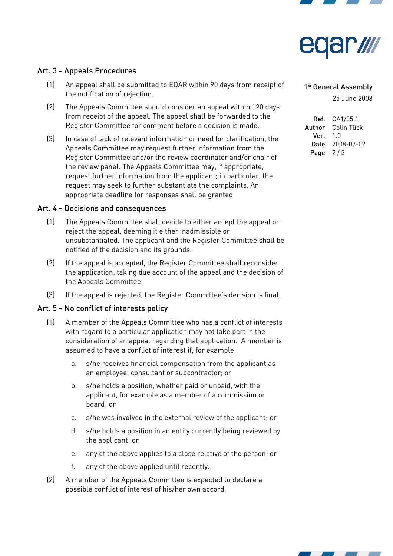



## Art. 3 - Appeals Procedures

- (1) An appeal shall be submitted to EQAR within 90 days from receipt of the notification of rejection.
- (2) The Appeals Committee should consider an appeal within 120 days from receipt of the appeal. The appeal shall be forwarded to the Register Committee for comment before a decision is made.
- (3) In case of lack of relevant information or need for clarification, the Appeals Committee may request further information from the Register Committee and/or the review coordinator and/or chair of the review panel. The Appeals Committee may, if appropriate, request further information from the applicant; in particular, the request may seek to further substantiate the complaints. An appropriate deadline for responses shall be granted.

#### Art. 4 - Decisions and consequences

- (1) The Appeals Committee shall decide to either accept the appeal or reject the appeal, deeming it either inadmissible or unsubstantiated. The applicant and the Register Committee shall be notified of the decision and its grounds.
- (2) If the appeal is accepted, the Register Committee shall reconsider the application, taking due account of the appeal and the decision of the Appeals Committee.
- (3) If the appeal is rejected, the Register Committee's decision is final.

## Art. 5 - No conflict of interests policy

- (1) A member of the Appeals Committee who has a conflict of interests with regard to a particular application may not take part in the consideration of an appeal regarding that application. A member is assumed to have a conflict of interest if, for example
	- a. s/he receives financial compensation from the applicant as an employee, consultant or subcontractor; or
	- b. s/he holds a position, whether paid or unpaid, with the applicant, for example as a member of a commission or board; or
	- c. s/he was involved in the external review of the applicant; or
	- d. s/he holds a position in an entity currently being reviewed by the applicant; or
	- e. any of the above applies to a close relative of the person; or
	- f. any of the above applied until recently.
- (2) A member of the Appeals Committee is expected to declare a possible conflict of interest of his/her own accord.

#### 1 st General Assembly

25 June 2008

Ref. GA1/05.1 Author Colin Tück  $Ver. 10$ Date 2008-07-02 Page 2/3